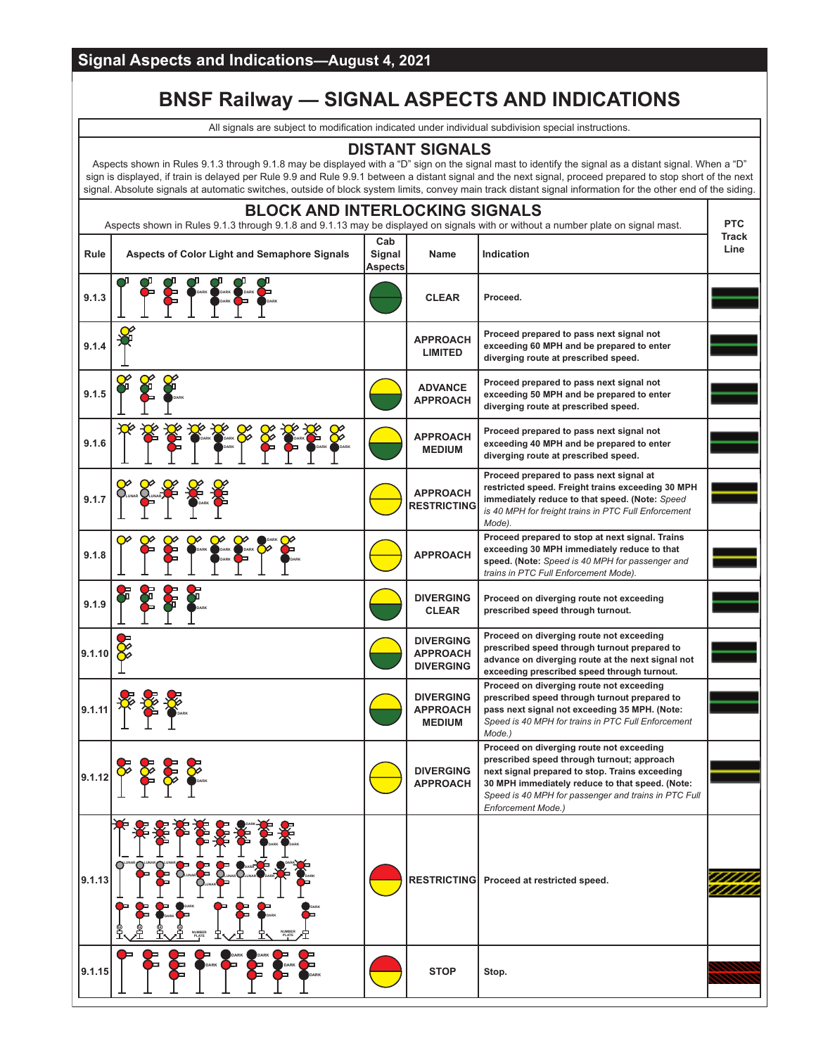# **BNSF Railway — SIGNAL ASPECTS AND INDICATIONS**

All signals are subject to modification indicated under individual subdivision special instructions.

### **DISTANT SIGNALS**

Aspects shown in Rules 9.1.3 through 9.1.8 may be displayed with a "D" sign on the signal mast to identify the signal as a distant signal. When a "D" sign is displayed, if train is delayed per Rule 9.9 and Rule 9.9.1 between a distant signal and the next signal, proceed prepared to stop short of the next signal. Absolute signals at automatic switches, outside of block system limits, convey main track distant signal information for the other end of the siding.